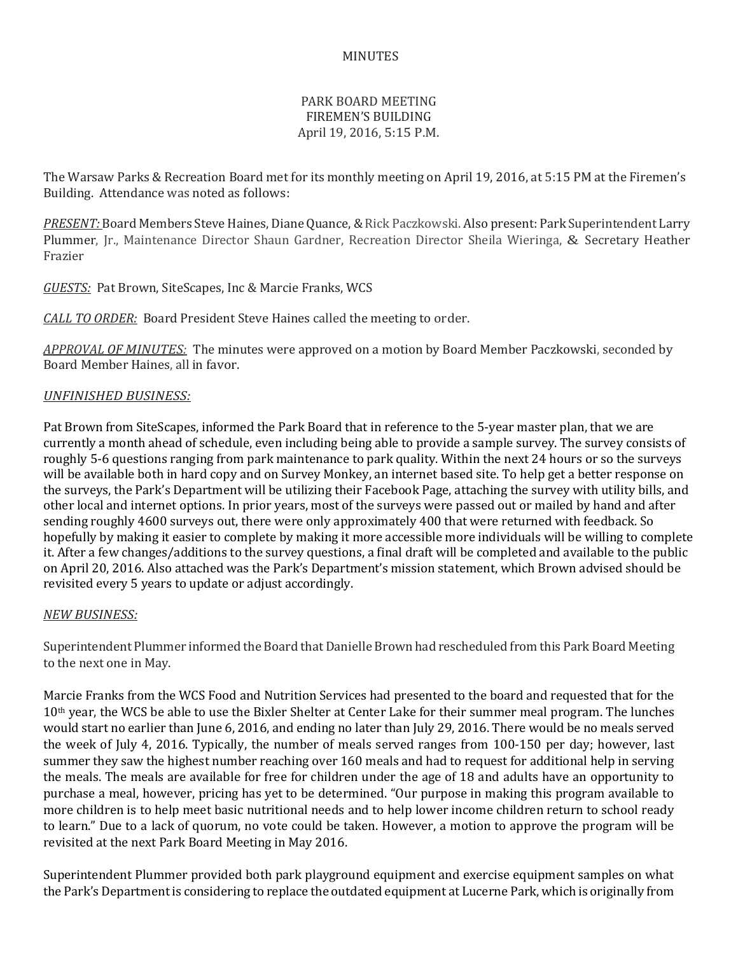## MINUTES

## PARK BOARD MEETING FIREMEN'S BUILDING April 19, 2016, 5:15 P.M.

The Warsaw Parks & Recreation Board met for its monthly meeting on April 19, 2016, at 5:15 PM at the Firemen's Building. Attendance was noted as follows:

*PRESENT:* Board Members Steve Haines, Diane Quance, & Rick Paczkowski. Also present: Park Superintendent Larry Plummer, Jr., Maintenance Director Shaun Gardner, Recreation Director Sheila Wieringa, & Secretary Heather Frazier

*GUESTS:* Pat Brown, SiteScapes, Inc & Marcie Franks, WCS

*CALL TO ORDER:* Board President Steve Haines called the meeting to order.

*APPROVAL OF MINUTES:* The minutes were approved on a motion by Board Member Paczkowski, seconded by Board Member Haines, all in favor.

#### *UNFINISHED BUSINESS:*

Pat Brown from SiteScapes, informed the Park Board that in reference to the 5-year master plan, that we are currently a month ahead of schedule, even including being able to provide a sample survey. The survey consists of roughly 5-6 questions ranging from park maintenance to park quality. Within the next 24 hours or so the surveys will be available both in hard copy and on Survey Monkey, an internet based site. To help get a better response on the surveys, the Park's Department will be utilizing their Facebook Page, attaching the survey with utility bills, and other local and internet options. In prior years, most of the surveys were passed out or mailed by hand and after sending roughly 4600 surveys out, there were only approximately 400 that were returned with feedback. So hopefully by making it easier to complete by making it more accessible more individuals will be willing to complete it. After a few changes/additions to the survey questions, a final draft will be completed and available to the public on April 20, 2016. Also attached was the Park's Department's mission statement, which Brown advised should be revisited every 5 years to update or adjust accordingly.

#### *NEW BUSINESS:*

Superintendent Plummer informed the Board that Danielle Brown had rescheduled from this Park Board Meeting to the next one in May.

Marcie Franks from the WCS Food and Nutrition Services had presented to the board and requested that for the 10th year, the WCS be able to use the Bixler Shelter at Center Lake for their summer meal program. The lunches would start no earlier than June 6, 2016, and ending no later than July 29, 2016. There would be no meals served the week of July 4, 2016. Typically, the number of meals served ranges from 100-150 per day; however, last summer they saw the highest number reaching over 160 meals and had to request for additional help in serving the meals. The meals are available for free for children under the age of 18 and adults have an opportunity to purchase a meal, however, pricing has yet to be determined. "Our purpose in making this program available to more children is to help meet basic nutritional needs and to help lower income children return to school ready to learn." Due to a lack of quorum, no vote could be taken. However, a motion to approve the program will be revisited at the next Park Board Meeting in May 2016.

Superintendent Plummer provided both park playground equipment and exercise equipment samples on what the Park's Department is considering to replace the outdated equipment at Lucerne Park, which is originally from